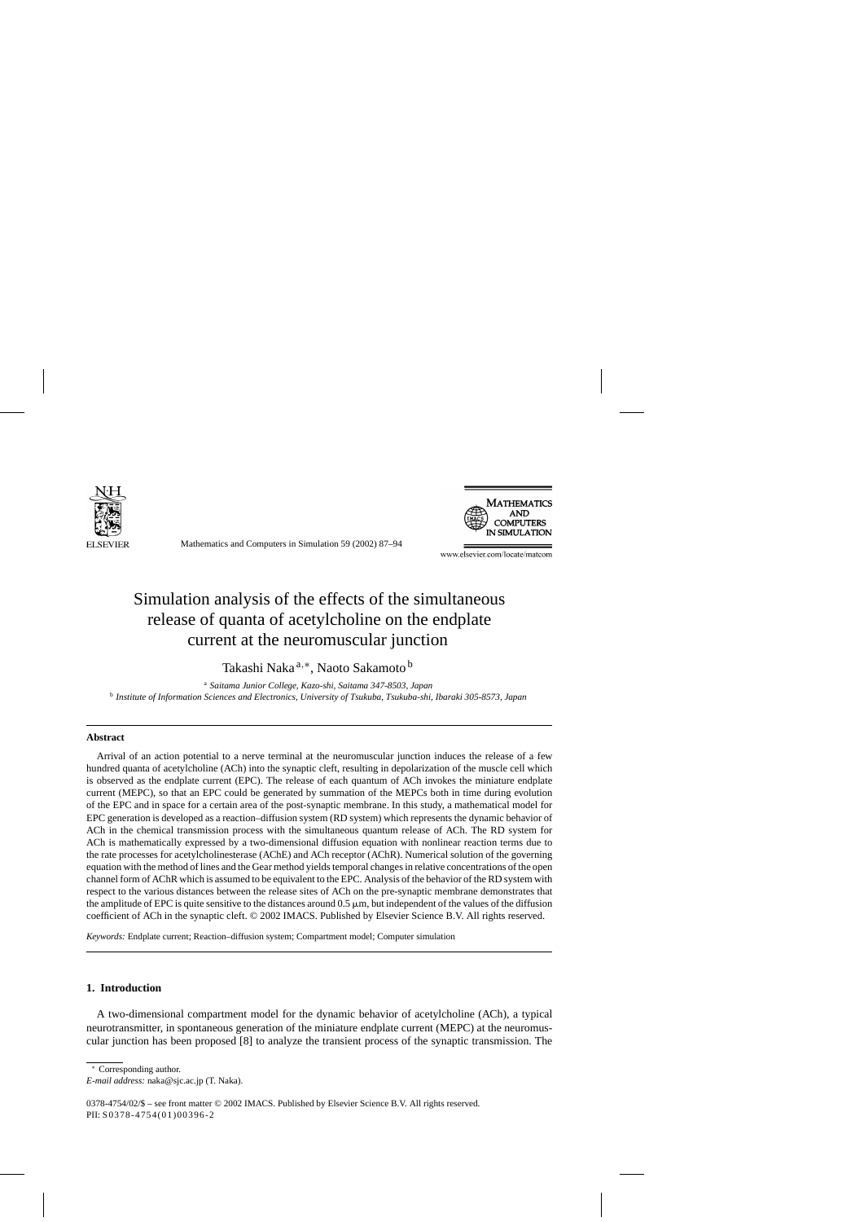

Mathematics and Computers in Simulation 59 (2002) 87–94



www.elsevier.com/locate/matcom

# Simulation analysis of the effects of the simultaneous release of quanta of acetylcholine on the endplate current at the neuromuscular junction

Takashi Naka <sup>a</sup>,∗, Naoto Sakamoto <sup>b</sup>

<sup>a</sup> *Saitama Junior College, Kazo-shi, Saitama 347-8503, Japan* <sup>b</sup> *Institute of Information Sciences and Electronics, University of Tsukuba, Tsukuba-shi, Ibaraki 305-8573, Japan*

#### **Abstract**

Arrival of an action potential to a nerve terminal at the neuromuscular junction induces the release of a few hundred quanta of acetylcholine (ACh) into the synaptic cleft, resulting in depolarization of the muscle cell which is observed as the endplate current (EPC). The release of each quantum of ACh invokes the miniature endplate current (MEPC), so that an EPC could be generated by summation of the MEPCs both in time during evolution of the EPC and in space for a certain area of the post-synaptic membrane. In this study, a mathematical model for EPC generation is developed as a reaction–diffusion system (RD system) which represents the dynamic behavior of ACh in the chemical transmission process with the simultaneous quantum release of ACh. The RD system for ACh is mathematically expressed by a two-dimensional diffusion equation with nonlinear reaction terms due to the rate processes for acetylcholinesterase (AChE) and ACh receptor (AChR). Numerical solution of the governing equation with the method of lines and the Gear method yields temporal changes in relative concentrations of the open channel form of AChR which is assumed to be equivalent to the EPC. Analysis of the behavior of the RD system with respect to the various distances between the release sites of ACh on the pre-synaptic membrane demonstrates that the amplitude of EPC is quite sensitive to the distances around  $0.5 \mu m$ , but independent of the values of the diffusion coefficient of ACh in the synaptic cleft. © 2002 IMACS. Published by Elsevier Science B.V. All rights reserved.

*Keywords:* Endplate current; Reaction–diffusion system; Compartment model; Computer simulation

### **1. Introduction**

A two-dimensional compartment model for the dynamic behavior of acetylcholine (ACh), a typical neurotransmitter, in spontaneous generation of the miniature endplate current (MEPC) at the neuromuscular junction has been proposed [8] to analyze the transient process of the synaptic transmission. The

<sup>∗</sup> Corresponding author.

0378-4754/02/\$ – see front matter © 2002 IMACS. Published by Elsevier Science B.V. All rights reserved. PII: S0378-4754(01)00396-2

*E-mail address:* naka@sjc.ac.jp (T. Naka).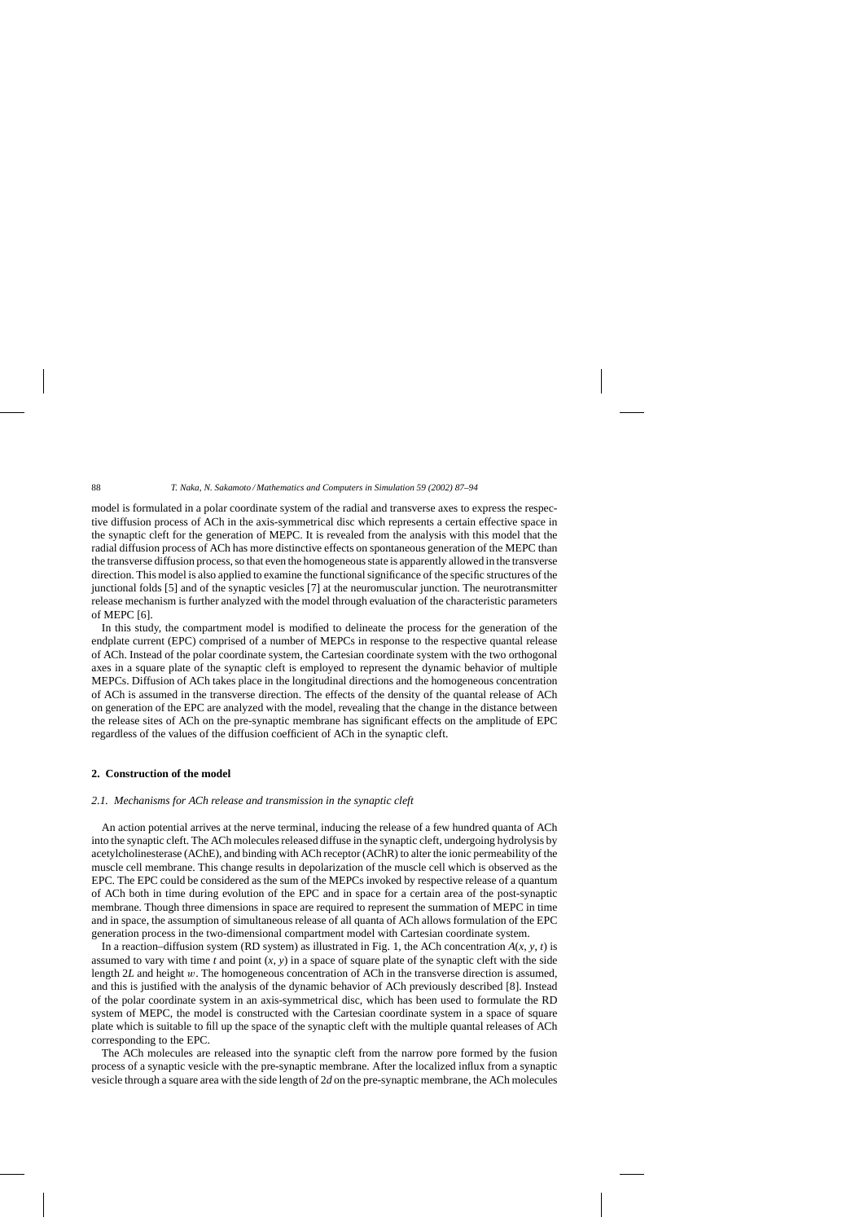model is formulated in a polar coordinate system of the radial and transverse axes to express the respective diffusion process of ACh in the axis-symmetrical disc which represents a certain effective space in the synaptic cleft for the generation of MEPC. It is revealed from the analysis with this model that the radial diffusion process of ACh has more distinctive effects on spontaneous generation of the MEPC than the transverse diffusion process, so that even the homogeneous state is apparently allowed in the transverse direction. This model is also applied to examine the functional significance of the specific structures of the junctional folds [5] and of the synaptic vesicles [7] at the neuromuscular junction. The neurotransmitter release mechanism is further analyzed with the model through evaluation of the characteristic parameters of MEPC [6].

In this study, the compartment model is modified to delineate the process for the generation of the endplate current (EPC) comprised of a number of MEPCs in response to the respective quantal release of ACh. Instead of the polar coordinate system, the Cartesian coordinate system with the two orthogonal axes in a square plate of the synaptic cleft is employed to represent the dynamic behavior of multiple MEPCs. Diffusion of ACh takes place in the longitudinal directions and the homogeneous concentration of ACh is assumed in the transverse direction. The effects of the density of the quantal release of ACh on generation of the EPC are analyzed with the model, revealing that the change in the distance between the release sites of ACh on the pre-synaptic membrane has significant effects on the amplitude of EPC regardless of the values of the diffusion coefficient of ACh in the synaptic cleft.

### **2. Construction of the model**

### *2.1. Mechanisms for ACh release and transmission in the synaptic cleft*

An action potential arrives at the nerve terminal, inducing the release of a few hundred quanta of ACh into the synaptic cleft. The ACh molecules released diffuse in the synaptic cleft, undergoing hydrolysis by acetylcholinesterase (AChE), and binding with ACh receptor (AChR) to alter the ionic permeability of the muscle cell membrane. This change results in depolarization of the muscle cell which is observed as the EPC. The EPC could be considered as the sum of the MEPCs invoked by respective release of a quantum of ACh both in time during evolution of the EPC and in space for a certain area of the post-synaptic membrane. Though three dimensions in space are required to represent the summation of MEPC in time and in space, the assumption of simultaneous release of all quanta of ACh allows formulation of the EPC generation process in the two-dimensional compartment model with Cartesian coordinate system.

In a reaction–diffusion system (RD system) as illustrated in Fig. 1, the ACh concentration  $A(x, y, t)$  is assumed to vary with time  $t$  and point  $(x, y)$  in a space of square plate of the synaptic cleft with the side length 2*L* and height w. The homogeneous concentration of ACh in the transverse direction is assumed, and this is justified with the analysis of the dynamic behavior of ACh previously described [8]. Instead of the polar coordinate system in an axis-symmetrical disc, which has been used to formulate the RD system of MEPC, the model is constructed with the Cartesian coordinate system in a space of square plate which is suitable to fill up the space of the synaptic cleft with the multiple quantal releases of ACh corresponding to the EPC.

The ACh molecules are released into the synaptic cleft from the narrow pore formed by the fusion process of a synaptic vesicle with the pre-synaptic membrane. After the localized influx from a synaptic vesicle through a square area with the side length of 2*d* on the pre-synaptic membrane, the ACh molecules